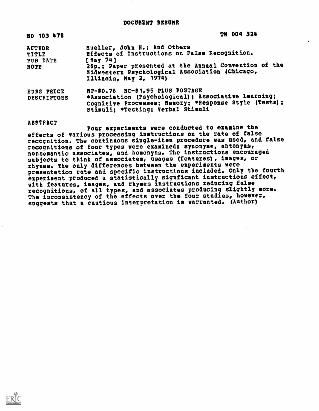## DOCUMENT RESUME

| ED 103 478                                        | TH 004 324                                                                                                                                                                                                                      |
|---------------------------------------------------|---------------------------------------------------------------------------------------------------------------------------------------------------------------------------------------------------------------------------------|
| <b>AUTHOR</b><br><b>TITLE</b><br>PUB DATE<br>NOTE | Mueller, John H.: And Others<br>Effects of Instructions on False Recognition.<br>[ May 741<br>26p.; Paper presented at the Annual Convention of the<br>Midwestern Psychological Association (Chicago,<br>Illinois, May 2, 1974) |
| <b>EDRS PRICE</b><br><b>DESCRIPTORS</b>           | NF-\$0.76 RC-\$1.95 PLUS POSTAGE<br>*Association (Psychological); Associative Learning;<br>Cognitive Processes; Nemory; *Response Style (Tests);<br>Stimuli; *Testing; Verbal Stimuli                                           |

#### ABSTRACT

Four experiments were conducted to examine the effects of various processing instructions on the rate of false recognition. The continuous single-item procedure was used, and false recognitions of four types were examined: synonyms, antonyms, nonsemantic associates, and homonyms. The instructions encouraged subjects to think of associates, usages (features), images, or rhymes. The only differences between the experiments were presentation rate and specific instructions included. Only the fourth experiment produced a statistically signficant instructions effect, with features, images, and rhymes instructions reducing false recognitions, of all types, and associates producing slightly more. The inconsistency of the effects over the four studies, however, suggests that a cautious interpretation is warranted. (Author)

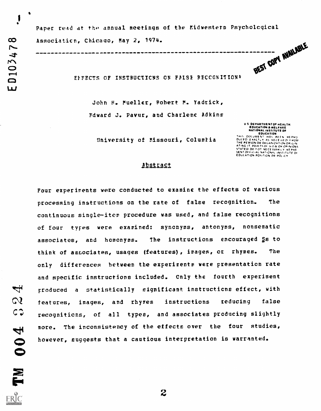$\begin{matrix} \mathbf{1} \end{matrix}$ 

Paper read at the annual meetings of the Midwestern Psychological Association, Chicago, May 2, 1974. BEST COPY NUNLABLE

EFFECTS OF INSTRUCTIONS ON FALSE RECCGNITION\*

John H. Mueller, Robert M. Yadrick, Edward J. Pavur, and Charlene Adkins

> U.S. DEPARTMENTOF HEALTH EDUCATION & WELFARE<br>NATIONAL INSTITUTE OF **NATIONAL INSTITUTE OF**<br> **ENDRETION AND REFACEMENT CONSIDERS**<br>
> THIS DOCUMENT HAS BEEN REPNO<br>
> DUCED EXACTLY AS RECEIVED FROM<br>
> THE PERSON OR ORGANIZATION ORIGINAL<br>
> STATED DO FOT NECESSARILY NEPNE<br>
> SENT OFFICIAL NATIONAL INST

University of Missouri, Columbia

## Abstract

Four experiments were conducted to examine the effects of various processing instructions on the rate of false recognition. The continuous single-item procedure was used, and false recognitions of four types were examined: synonyms, antonyms, nonsematic associates, and homonyms. The instructions encouraged Ss to think of associates, usages (features), images, or rhymes. The only differences between the experiments were presentation rate and specific instructions included. Cnly the fourth experiment produced a statistically significant instructions effect, with features, images, and rhymes instructions reducing false recognitions, of all types, and associates producing slightly more. The inconsistency of the effects over the four studies, however, suggests that a cautious interpretation is warranted.

بنسك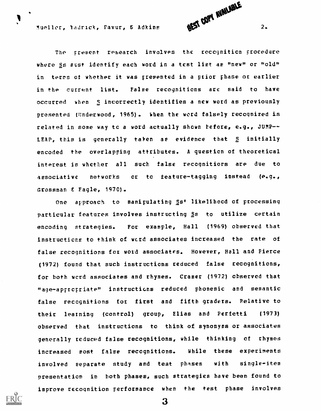Mueller, Yadrick, Pavur, 6 Adkins 2.

1

The present research involves the reccgniticn procedure where Ss must identify each word in a test list as "new" or "old" in terns of whether it was presented in a prior phase or earlier in the current list. False recognitions are said to have occurred when S incorrectly identifies a new word as previously presented (Underwood, 1965). When the word falsely recognized is related in some way tc a word actually shown before, e.g., JUMP-- LEAP, this is generally taken as evidence that 5 initially encoded the overlapping attributes. A question of theoretical interest is whether all such false recognitions are due to associative networks or to feature-tagging instead (e.g., Grossman E Eagle, 1970).

One approach to manipulating Ss' likelihood of processing particular features involves instructing Ss to utilize certain encoding strategies. For example, Hall (1969) observed that instructicns to think of wcrd associates increased the rate of false recognitions for word associates. However, Hall and Pierce (1972) found that such instructions reduced false recognitions, for both wcrd associates and rhymes. Cramer (1972) cbserved that "age-apptcpriate" instructions reduced phonemic and semantic false recognitions tot first and fifth graders. Relative to their learning (control) group, Elias and Perfetti (1973) observed that instructions to think of synonyms or associates generally reduced false recognitions, while thinking of rhymes increased most false recognitions. While these experiments involved separate study and test phases with single-item presentation in both phases, such strategies have been found to improve recognition performance when the test phase involves

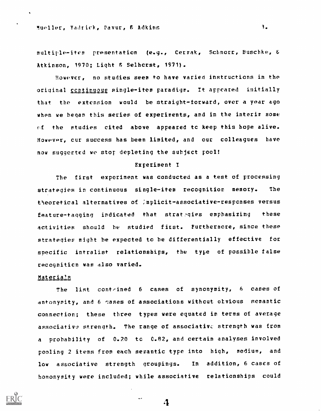multiple-item presentation (e.g., Cerrak, Schnorr, Buschke, b Atkinson, 1970; Light & Selhcrst, 1971).

However, no studies seem to have varied instructions in the original continuous single-item paradigm. It appeared initially that the extension would be straight-forward, over a year ago when we began this series of experiments, and in the interim some  $cf$  the studies cited above appeared tc keep this hope alive. However, cur success has been limited, and our colleagues have now suggested we stop depleting the subject pool!

#### Experiment I

The first experiment was conducted as a test of processing strategies in continuous single-item recognition memory. The theoretical alternatives of :mplicit-associative-respcnses versus feature-tagging indicated that strategies emphasizing these activities should be studied first. Furthermore, since these strategies might be expected to be differentially effective for specific intralist relationships, the type of possible false recogniticn was also varied.

## Materials

The list contained 6 cases of synonymity, 6 cases of antonymity, and 6 cases of associations without otvious semantic connection; these three types were equated in terms of average associative strength. The range of associative strength was from <sup>a</sup> probability of 0.20 tc 0.82, and certain analyses involved pooling 2 items from each semantic type into high, medium, and low associative strength groupings. In addition, 6 cases of homonymity were included; while associative relationships could



4

أوجه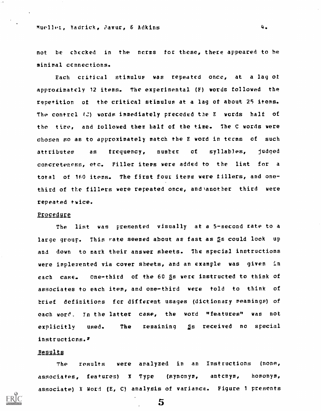## Mueller, Yadrick, Pavur, & Adkins 4.

not be checked in the ncrms for these, there appeared to he minimal ccnnections.

Each critical stimulus was repeated once, at a lag of approximately 12 items. The experimental (F) words followed the repetition of the critical stimulus at a lag of about 25 items. The contrcl (C) words immediately preceded the E words half of the tire, and followed them half of the time. The C words were chosen so as to approximately match the E word in teems of such attributes as frequency, number of syllables, judged concreteness, etc. Filler items were added to the list for <sup>a</sup> total of 160 items. The first four items were tillers, and onethird of the fillers were repeated once, and another third were repeated twice.

#### Procedure

The list was presented visually at a 5-second rate to a large group. This rate seemed about as fast as Ss could look up and down to mark their answer sheets. The special instructions were implerented via cover sheets, and an example was given in each case. one-third of the 60 Ss were instructed to think of associates to each item, and one-third were told to think of brief definitions fcr different usages (dictionary meanings) of, each word. In the latter case, the word "features" was not explicitly used. The remaining  $\S$ s received no special instructions.'

#### Results

The results were analyzed in an Instructions (none, associates, features) <sup>X</sup> Type (synonym, antcnym, homonym, associate) X Word (E, C) analysis of variance. Figure <sup>1</sup> presents

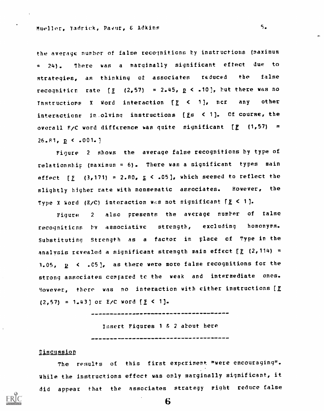the average number of false recognitions by instructions (maximum <sup>=</sup> 24). There was <sup>a</sup> marginally significant effect due to strategies, as thinking at associates reduced the false recogniticr. rate  $[E \ (2,57) = 2.45, p < .10]$ , but there was no Instructions X Word interaction  $[f] < 1$ , ncr any other interactions in.olyinq instructions (Fs <sup>&</sup>lt; 1]. Of course, the overall F/C word difference was quite significant  $[E - (1, 57) =$  $26.81, p \le .001.$ 

Figure <sup>2</sup> shows the average false recognitions by type of relationship (maximum =  $6$ ). There was a significant types main effect [ $E$  (3,171) = 2.80,  $E \le .05$ ], which seemed to reflect the slightly higher rate with nonsematic associates. However, the Type X Word (E/C) interaction wes not significant  $f \leq 1$ ].

Figure <sup>2</sup> also presents the average number of false recognitions by associative strength, excluding homonyms. Substituting Strength as <sup>a</sup> factor in place cf Type in the analysis revealed a significant strength main effect  $[E(2,114) =$ 3.05, 2 <sup>&</sup>lt; .C5], as there were more false recognitions for the strong associates compared tc the weak and intermediate ones. 9owever, there was no interaction with either instructions (F  $(2,57) = 1.43$  or E/C word  $[E \le 1]$ .

Insert Figures  $1 8 2$  about here 

## **Discussion**

The results of this first experiment "were encouraging". while the instructions effect was only marginally significant, it did appear that the associates strategy right reduce false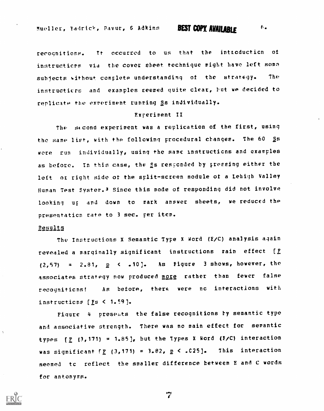recognitions. It occurred to us that the intrcducticn of instructions via the cover sheet technique might have left soma subjects without complete understanding of the strategy, The instructicrs and examples seemed quite clear, but we decided to replicate the experiment running Ss individually.

## Experiment TI

The second experiment was a replication of the first, using the same list, with the following procedural changes. The 60 Ss wore run individually, using the same instructions and examples as before. In this case, the Ss responded by pressing either the left or right side of the split-screen module of a Lehigh Valley Human Test System.3 Since this mode of responding did not involve looking up and down to mark answer sheets, we reduced the presentaticn rate to 3 sec. per item.

#### Results

The Instructions X Semantic Type X Word (E/C) analysis again revealed a marginally significant instructions rain effect [F  $(2,57)$  = 2.81,  $p$  < .10]. As Figure 3 shows, however, the associates strategy now produced more rather than fewer false recogniticns! As before, there were nc interactions with instructions [Es < 1.59].

Figure 4 presents the false recognitions by semantic type and associative strength. There was no main effect for semantic types  $[\underline{F} (3,171) = 1.85]$ , but the Types X Word (E/C) interaction was significant  $f_E$  (3,171) = 3.82,  $p < .025$ ]. This interaction seemed tc reflect the smaller difference between E and C words for antonyms.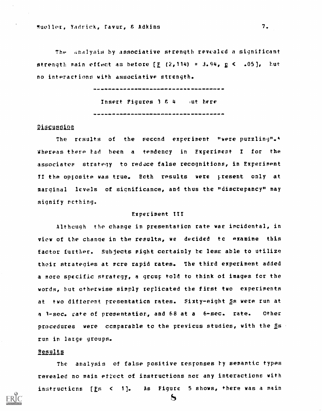The analysis by associative strength revealed a significant strength main effect as before  $\left[\frac{F}{L}\right]$  (2,114) = 3.94,  $E \le 1.05$ ], but no interactions with associative strength.

> Insert Pigures  $3/6/4$  and here

## Discussion

The results of the second experiment "were puzzling".4 Whereas there tad been a tendency in Experiment I for the associates strategy to redace false recognitions, in Experiment II the opposite was true. Both results were present only at marginal levels of significance, and thus the "discrepancy" may signify rcthing.

#### Experiment III

Although the change in presentaticn rate was incidental, in view of the change in the results, we decided tc examine this factor further. Subjects might certainly he less able to utilize their strategies at more rapid rates. The third experiment added a more specific strategy, a group told to think of images for the words, but otherwise simply replicated the first two experiments at two different presentaticn rates. Sixty-eight Ss were run at a 1-sec. rate of presentatior, and 68 at a 6-sec. rate. Other procedures were comparable to the previcus studies, with the Ss run in large groups.

#### Results

The analysis of false positive responses ty semantic types revealed no main ettect of instructions nor any interactions with instructicns [Fs <sup>&</sup>lt; 1]. As Figure 5 shows, there was a main

 $\mathbf{z}$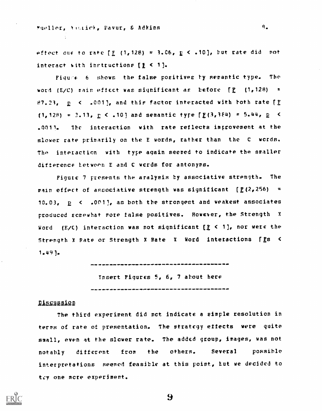#### Mueller, Victick, Pavur, & Adkins

effect due to rate  $\left[\frac{F}{2}\right]$  (1,128) = 3.06,  $E \le .10$ , but rate did not interact with instructions  $[\frac{1}{2} \leq 1]$ .

 $9 -$ 

Figure 6 shows the false positives by semantic type. The word (E/C) rain effect was significant as before  $f_E$  (1,128) = 87.23,  $p \le 1001$ , and this factor interacted with both rate [F] (1,128) = 3.13,  $E \le .10$ ] and semantic tyre [E(3,384) = 5.44,  $E \le$ .0011. The interaction with rate reflects improvement at the slower rate primarily on the E words, rather than the C words. The interaction with type again seemed to indicate the smaller difference hetween E and C words for antonyms.

Figute 7 presents the aralysis by associative strength. The main effect of associative strength was significant  $\left[\frac{p}{2}, 256\right]$  = 10.03,  $p \le 10011$ , as both the strongest and weakest associates produced somewhat more false positives. However, the Strength <sup>X</sup> Word (E/C) interaction was not significant  $[E \leq 1]$ , nor were the Strength X Rate or Strength X Rate X Word interactions [Es < 1.49).

Insert Figures 5, 6, 7 about here 

#### Discussion

The third experiment did nct indicate a simple resolution in terms of rate of presentation. The strategy effects were quite small, even at the slower rate. The added group, images, was not notably different from the others. Several possible interpretations seemed feasible at this point, tut we decided to try one more experiment.

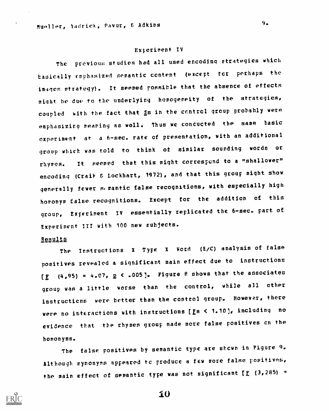#### Experiment IV

The previous studies had all used encoding strategies which basically emphasized semantic content (except tct perhaps the images strategy). It seemed possible that the absence of effects might be due to the underlying homogeneity of the strategies, coupled with the fact that gs in the control group probably were emphasizing meaning as well. Thus we conducted the same basic experiment at a 6-sec. rate of presentation, with an additional group which was told to think of similar sounding words or rhymes. It seemed that this might correspond to a "shallower" encoding (Craik 6 Lockhart, 1972), and that this group might show generally fewer semantic false recognitions, with especially high homonym false recognitions. Except for the addition of this group, Experiment IV essentially replicated the 6-sec. part of Experiment III with 100 new subjects.

## Results

The Instructions <sup>X</sup> Type <sup>X</sup> Word (E/C) analysis of false positives revealed a significant main effect due to instructions  $[\underline{F}$  (4,95) = 4.07,  $\underline{p}$  < .005]. Figure 8 shows that the associates group was a little worse than the control, while all other instructicns were better than the control group. However, there were no interactions with instructions [Es < 1.10], including no evidence that the rhymes group made more false positives en the homonyms.

The false positives by semantic type are shown in Figure 9. Although synonyms appeared to produce a few more false positives, the main effect of semantic type was not significant [E (3,285) =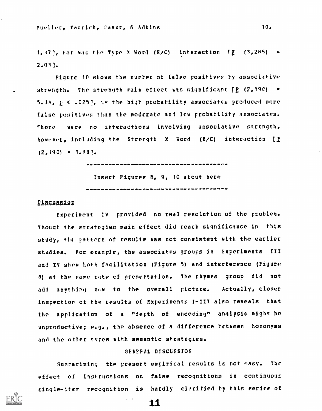1.37], nor was the Type X Word (E/C) interaction  $\mathbb{E}$  (3,285) =  $2.03$ ].

Figure 10 shows the number of false positives by associative strength. The strength main effect was significant  $E$  (2,190) = 5.38,  $\underline{p}$  < .025],  $\overline{w}$  the high probability associates produced more false positives than the moderate and low probability associates. There were no interactions involving associative strength, however, including the Strength X Word (E/C) interaction [E  $(2,190) = 1.88$ <sup>1</sup>.

> Insert Figures  $\theta_{\ell}$  9, 10 about here

#### Discussion

Experiment IV provided no real resolution of the problem. Though the strategies main effect did reach significance in this study, the pattern of results was not consistent with the earlier studies. For example, the associates groups in Experiments III and IV show both facilitation (Figure 5) and interference (Figure 8) at the same rate of presentation. The rhymes group did not add anything new to the overall picture. Actually, closer inspection of the results of Experiments I-III also reveals that the application of a "depth of encoding" analysis might be unproductive; e.g., the absence of a difference between homonyms and the otter types with semantic strategies.

## GENERAL DISCUSSION

Summarizing the present empirical results is not easy. The effect of instructions on false recognitions in continuous single-iter recognition is hardly clarified by this series of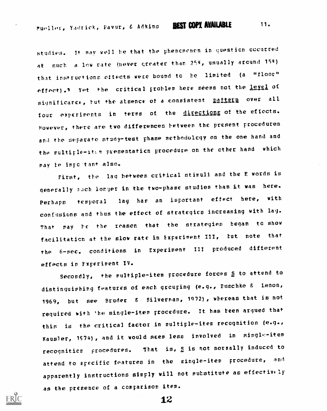studies. It may well be that the phenomenon in question cocurred at such a low rate (never greater than  $25\%$ , usually arcund  $15\%$ ) that instructions effects were bound to he limited (a "floor" effect).<sup>5</sup> Yet the critical problem here seems not the level of significance, but the atsence of a consistent <u>pattern</u> over all four experiments in terms of the directions of the effects. However, there are two differences hetween the present procedures and the separate study-test phase methodolcgy on the one hand and the multiple-item presentation procedure on the other hand which may be important also.

First, the lag between critical stiruli and the E words is generally such longer in the two-phase studies than it was here. Perhaps temporal lag has an important effect here, with confusions and thus the effect of strategics increasing with lag. That may he the reason that the strategies began to show facilitation at the slow rate in Experiment III, tut note that the 6-sec. conditions in Experiment III produced different effects in Fxperiment IV.

Secondly, the multiple-item procedure forces S to attend to distinguishing features of each grouping (e.g., Euschke & Lenon, 1969, but see Bruder & Silverman, 1972) , whereas that is not required with the single-item procedure. It has keen argued that this is the critical factor in multiple-item recognition (e.g., Kausler, 1S74), and it would seem less involved in single-item recognitics procedures. That is, S is not normally induced to attend to specific features in the single-item procedure, and apparently instructions simply will not substitute as effectively as the presence of a comparison item.

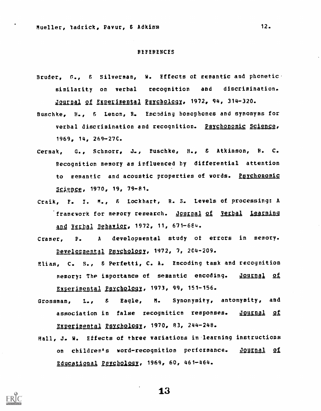#### REFERENCES

- Bruder, G., & Silverman, W. Effects of semantic and phonetic. similarity on verbal recognition and discrimination. Journal of Experimental Psychology, 1972, 94, 314-320.
- Buschke, H., & Lenon, R. Encoding homophones and synonyms for verbal discrimination and recognition. Psychonomic Science, 1969, 14, 269-27C.
- Cermak, G., Schnorr, J., Fuschke, H., 8 Atkinson, R. C. Recognition memory as influenced by differential attention to semantic and acoustic properties of words. Psychonomic Science, 1970, 19, 79-81.
- Craik, F. I. M., F. Lockhart, R. S. Levels of processing: A framework for memory research. <u>Journal of Verbal Learning</u> and Verbal Behavior, 1972, 11, 671-684.
- Cramer, P. <sup>A</sup> developmental study of errors in memory. Developmental Psychology, 1972, 7, 204-209.
- Elias, C. S., 6 Perfetti, C. A. Encoding task and recognition memory: The importance of semantic encoding. **Journal of** Experimental Psychology, 1973, 99, 151-156.
- Grossman, L., & Eagle, M. Synonymity, antonymity, and association in false recognition responses. Journal of Experimental Psychology,  $1970, 83, 244-248$ .
- Hall, J. W. Effects of three variations in.learning instructions on children's word-recognition performance. Journal of Educational Psychology, 1969, 60, 461-464.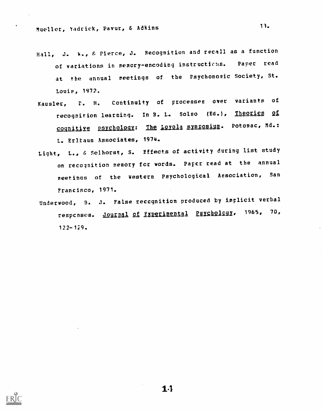- Hall, J. 1%., & Pierce, J. Recognition and recall as a function of variations in memory-encoding instructions. Paper read at the annual meetings of the Psychonomic Society, St. Louis, 1972.
- Kausler, V. H. Continuity of processes over variants of recognition learning. In R. L. Solso (Ed.), Theories of cognitive psychology: The Lovola symposium. Potomac, Md.: L. Erltaum Associates, 1974.
- Light, L., 6 Selhorst, S. Effects of activity during list study on recognition memory for words. Paper read at the annual meetings of the western Psychological Association, San Francisco, 1971.
- Underwood, B. J. False recognition produced by implicit verbal respcnses. <u>Journal of Experimental</u> Psychology, 1965, 70,  $122 - 129$ .



1.1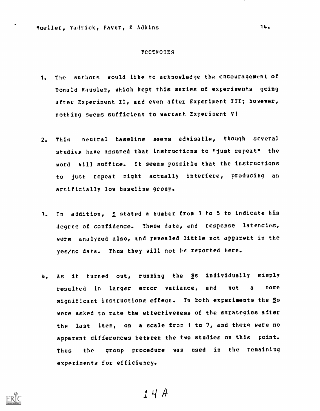#### FCCTNOTES

- 1. The authors would like to acknowledge the encouragement of Donald Kausler, which kept this series of experiments going after Experiment II, and even after Experiment III; however, nothing seems sufficient to warrant Experiment V!
- 2. This neutral baseline seems advisable, though several studies have assumed that instructions to "just repeat" the word will suffice. It seems possible that the instructions to just repeat might actually interfere, producing an artificially low baseline group.
- 3. In addition, S stated a number from 1 to 5 to indicate his degree of confidence. These data, and response latencies, were analyzed also, and revealed little not apparent in the yes/no data. Thus they will not be reported here.
- 4. As it turned out, running the §s individually simply resulted in larger error variance, and not <sup>a</sup> more significant instructions effect. In both experiments the 2s were asked to rate the effectiveness of the strategies after the last item, on a scale from <sup>1</sup> to 7, and there were no apparent differences between the two studies on this point. Thus the group procedure was used in the remaining experiments for efficiency.

 $14A$ 

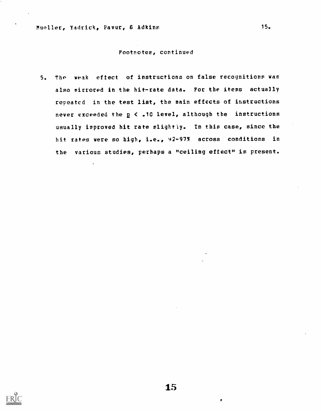## Footnotes, continued

5. The weak effect of instructions on false recognitions was also mirrored in the hit-rate data. For the items actually repeated in the test list, the main effects of instructions never exceeded the  $p < .10$  level, although the instructions usually improved hit rate slightly. In this case, since the hit rates were so high, i.e., 92-975 across conditions in the various studies, perhaps a "ceiling effect" is present.

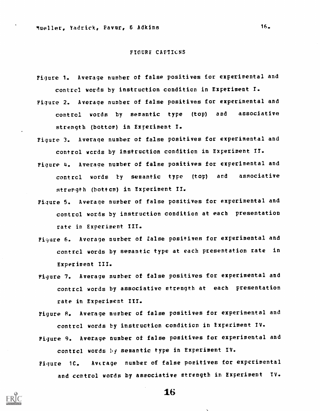#### FIGURE CAPTICNS

- Figure 1. Average number of false positives for experimental and contrcl words by instruction condition in Experiment I.
- Figure 2. Average number of false positives for experimental and control words by semantic type (top) and associative strength (bottom) in Experiment I.
- Figure 3. Average number of false positives for experimental and control words by instruction condition in Experiment TI.
- Figure 4. Average number of false positives for experimental and contrcl words by semantic type (top) and associative strength (bottom) in Experiment II.
- Figure 5. Average number of false positives for experimental and control words by instruction condition at each presentation rate in Experiment III.
- Pi:jure 6. Average number of false positives for experimental and contrcl words by semantic type at each presentation rate in Experiment III.
- Figure 7. Average number of false positives for experimental and contrcl words by associative strength at each presentation rate in Experiment III.

Figure S. Average number of false positives for experimental and contrcl words by instruction condition in Experiment IV.

- Figure 9. Average number of false positives for experimental and control words by semantic type in Experiment IV.
- Figure 1C. Average number of false positives for experimental and centrol words by associative strength in Experiment TV.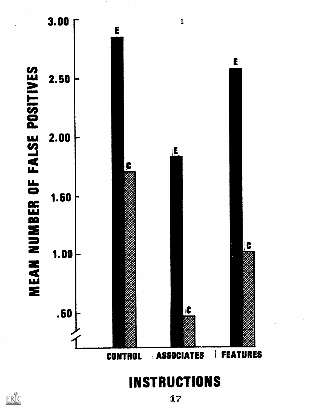

**INSTRUCTIONS** 

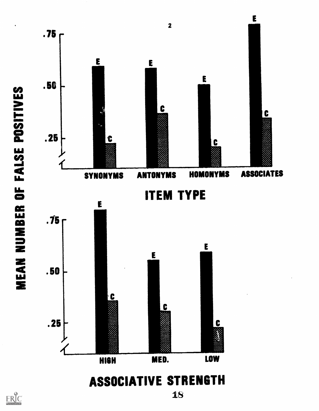

ERIC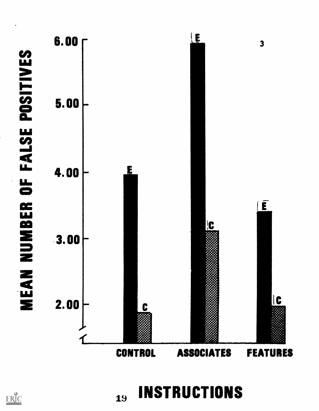



**INSTRUCTIONS**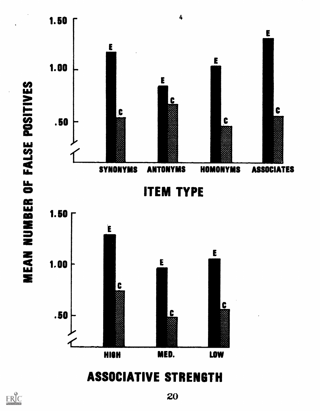

## ASSOCIATIVE STRENGTH

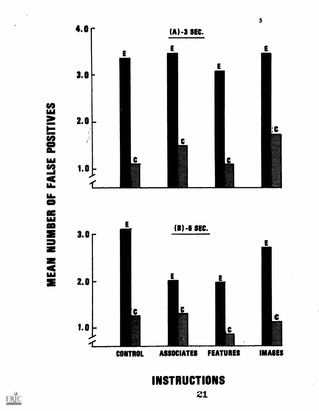

INSTRUCTIONS

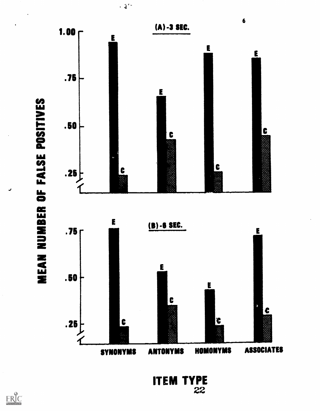

 $\sim 3^{n_{\rm e}}$ 

**ITEM TYPE**<br>22

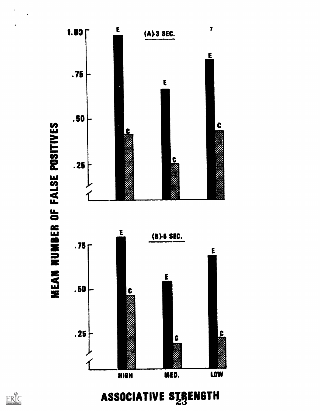



ASSOCIATIVE STRENGTH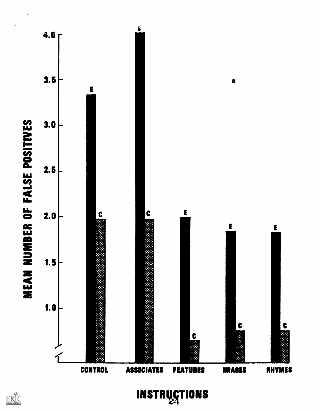

 $\mathop{\mathop{\bf FRC}}\limits_{\lambda_{\text{full Test Provided by ERC}}}$ 

INSTRUCTIONS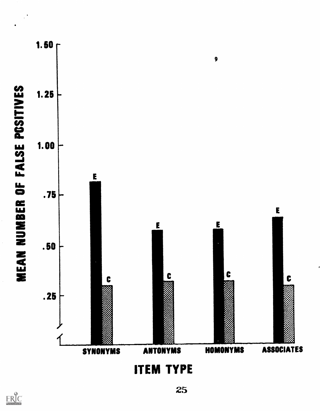

**ITEM TYPE**